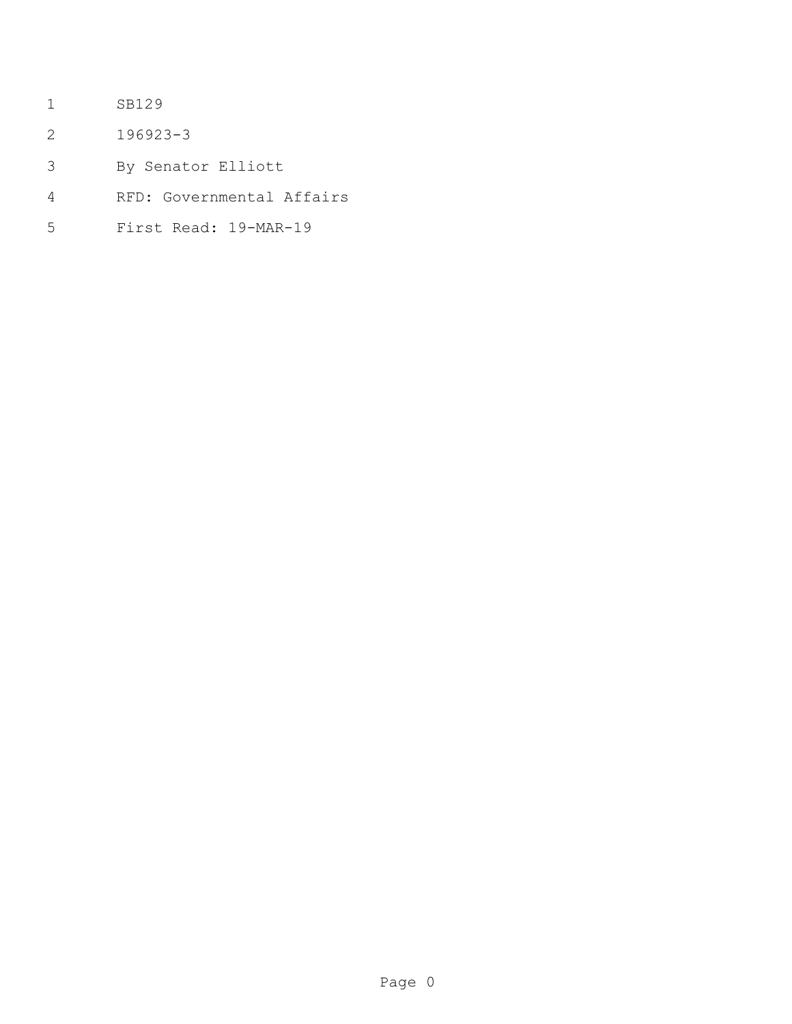- SB129
- 196923-3
- By Senator Elliott
- RFD: Governmental Affairs
- First Read: 19-MAR-19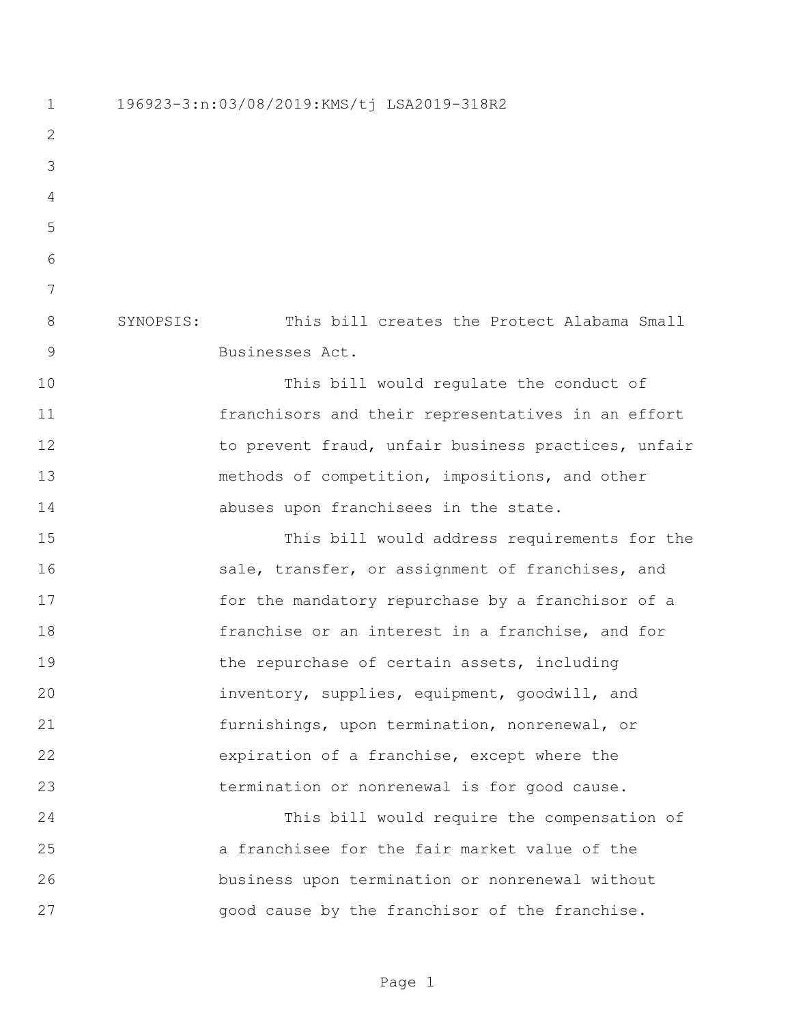196923-3:n:03/08/2019:KMS/tj LSA2019-318R2 SYNOPSIS: This bill creates the Protect Alabama Small Businesses Act. This bill would regulate the conduct of franchisors and their representatives in an effort 12 to prevent fraud, unfair business practices, unfair methods of competition, impositions, and other **abuses** upon franchisees in the state. This bill would address requirements for the 16 sale, transfer, or assignment of franchises, and for the mandatory repurchase by a franchisor of a franchise or an interest in a franchise, and for 19 the repurchase of certain assets, including inventory, supplies, equipment, goodwill, and furnishings, upon termination, nonrenewal, or expiration of a franchise, except where the termination or nonrenewal is for good cause. This bill would require the compensation of a franchisee for the fair market value of the business upon termination or nonrenewal without good cause by the franchisor of the franchise.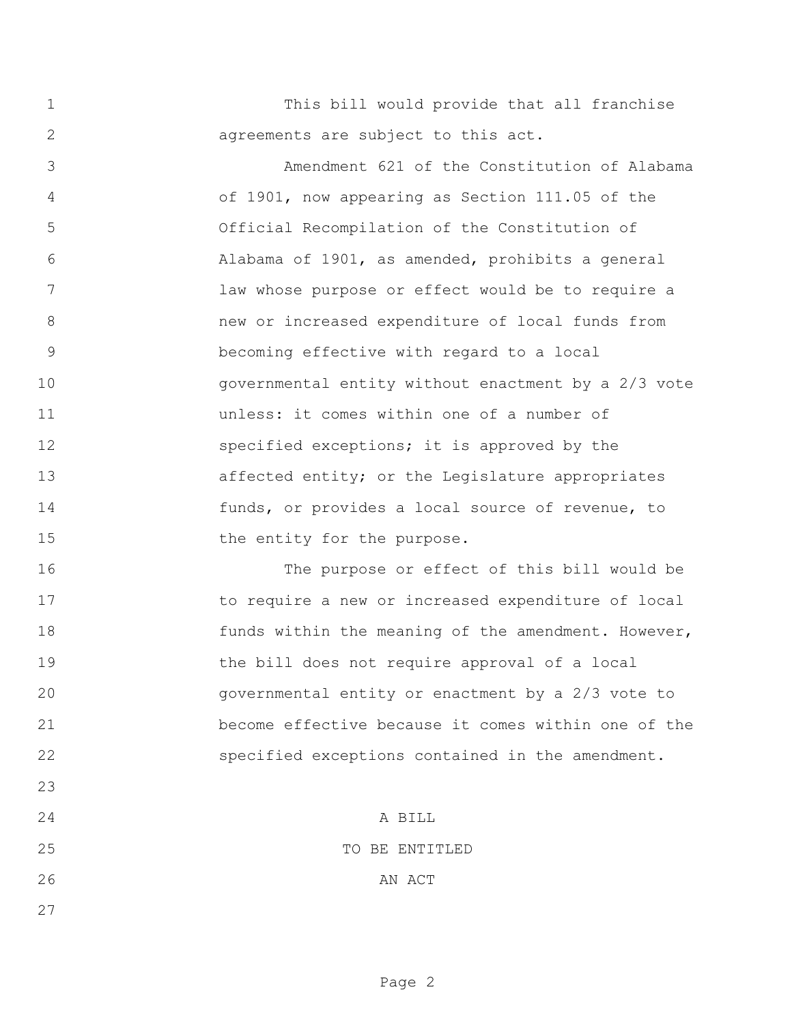This bill would provide that all franchise agreements are subject to this act.

 Amendment 621 of the Constitution of Alabama of 1901, now appearing as Section 111.05 of the Official Recompilation of the Constitution of Alabama of 1901, as amended, prohibits a general law whose purpose or effect would be to require a new or increased expenditure of local funds from becoming effective with regard to a local governmental entity without enactment by a 2/3 vote unless: it comes within one of a number of 12 specified exceptions; it is approved by the 13 affected entity; or the Legislature appropriates funds, or provides a local source of revenue, to 15 the entity for the purpose.

 The purpose or effect of this bill would be to require a new or increased expenditure of local 18 funds within the meaning of the amendment. However, the bill does not require approval of a local governmental entity or enactment by a 2/3 vote to become effective because it comes within one of the specified exceptions contained in the amendment.

 A BILL 25 TO BE ENTITLED 26 AN ACT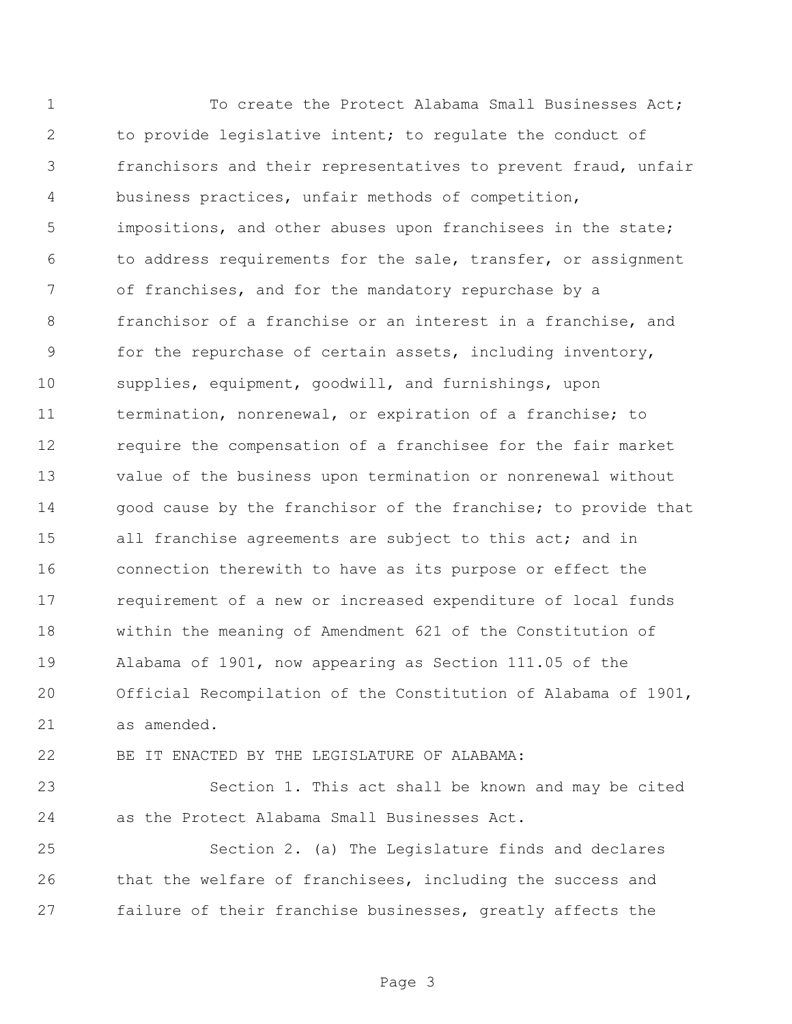To create the Protect Alabama Small Businesses Act; to provide legislative intent; to regulate the conduct of franchisors and their representatives to prevent fraud, unfair business practices, unfair methods of competition, impositions, and other abuses upon franchisees in the state; to address requirements for the sale, transfer, or assignment of franchises, and for the mandatory repurchase by a franchisor of a franchise or an interest in a franchise, and for the repurchase of certain assets, including inventory, supplies, equipment, goodwill, and furnishings, upon termination, nonrenewal, or expiration of a franchise; to require the compensation of a franchisee for the fair market value of the business upon termination or nonrenewal without 14 good cause by the franchisor of the franchise; to provide that 15 all franchise agreements are subject to this act; and in connection therewith to have as its purpose or effect the requirement of a new or increased expenditure of local funds within the meaning of Amendment 621 of the Constitution of Alabama of 1901, now appearing as Section 111.05 of the Official Recompilation of the Constitution of Alabama of 1901, as amended.

BE IT ENACTED BY THE LEGISLATURE OF ALABAMA:

 Section 1. This act shall be known and may be cited as the Protect Alabama Small Businesses Act.

 Section 2. (a) The Legislature finds and declares that the welfare of franchisees, including the success and failure of their franchise businesses, greatly affects the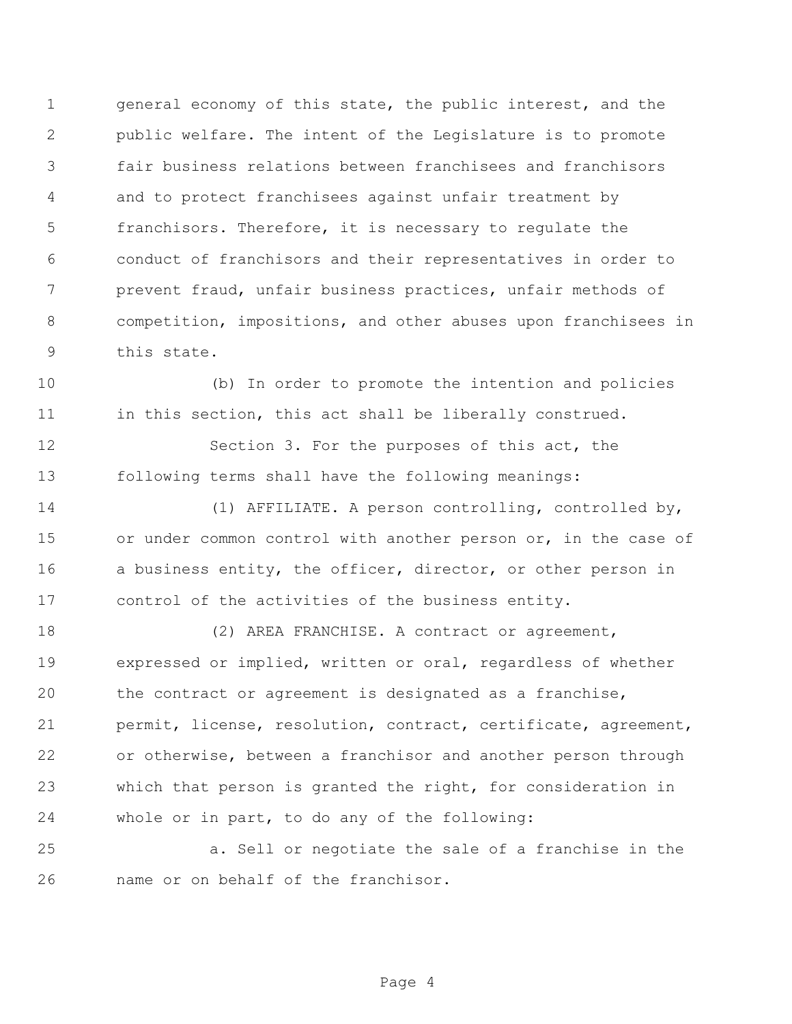general economy of this state, the public interest, and the public welfare. The intent of the Legislature is to promote fair business relations between franchisees and franchisors and to protect franchisees against unfair treatment by franchisors. Therefore, it is necessary to regulate the conduct of franchisors and their representatives in order to prevent fraud, unfair business practices, unfair methods of competition, impositions, and other abuses upon franchisees in this state.

 (b) In order to promote the intention and policies 11 in this section, this act shall be liberally construed.

 Section 3. For the purposes of this act, the following terms shall have the following meanings:

 (1) AFFILIATE. A person controlling, controlled by, 15 or under common control with another person or, in the case of 16 a business entity, the officer, director, or other person in control of the activities of the business entity.

18 (2) AREA FRANCHISE. A contract or agreement, expressed or implied, written or oral, regardless of whether the contract or agreement is designated as a franchise, permit, license, resolution, contract, certificate, agreement, or otherwise, between a franchisor and another person through which that person is granted the right, for consideration in whole or in part, to do any of the following:

 a. Sell or negotiate the sale of a franchise in the name or on behalf of the franchisor.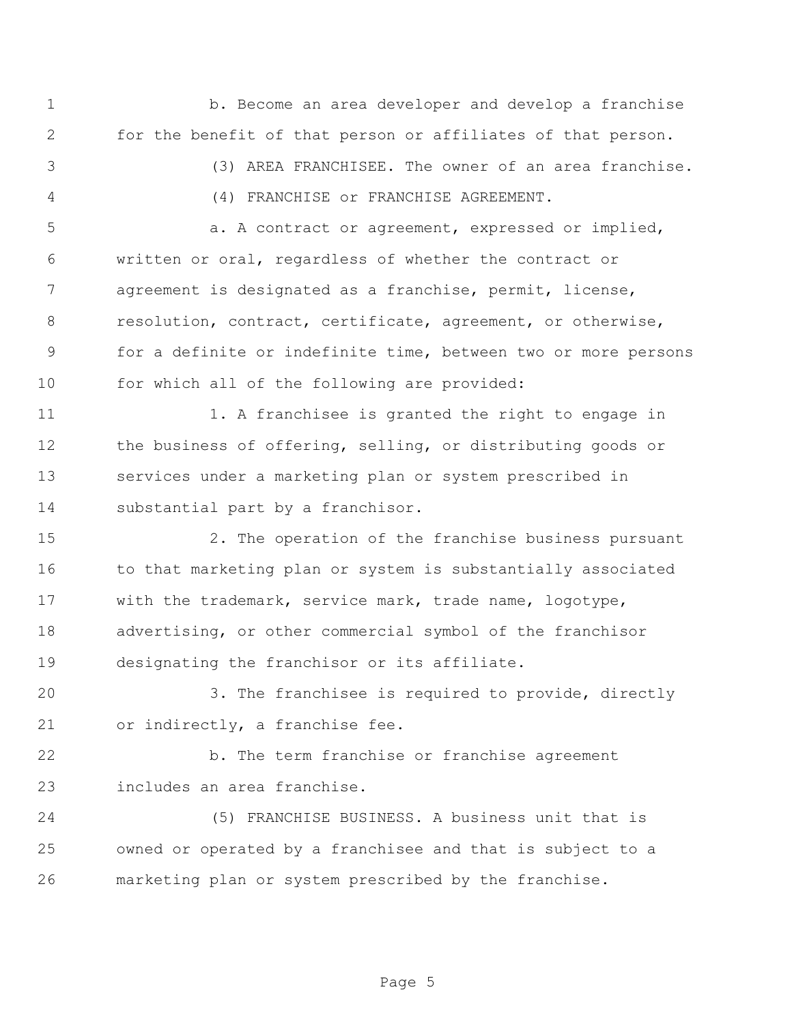b. Become an area developer and develop a franchise for the benefit of that person or affiliates of that person. (3) AREA FRANCHISEE. The owner of an area franchise. (4) FRANCHISE or FRANCHISE AGREEMENT. 5 a. A contract or agreement, expressed or implied, written or oral, regardless of whether the contract or agreement is designated as a franchise, permit, license, resolution, contract, certificate, agreement, or otherwise, for a definite or indefinite time, between two or more persons for which all of the following are provided: 11 1. A franchisee is granted the right to engage in the business of offering, selling, or distributing goods or services under a marketing plan or system prescribed in substantial part by a franchisor. 2. The operation of the franchise business pursuant 16 to that marketing plan or system is substantially associated with the trademark, service mark, trade name, logotype, advertising, or other commercial symbol of the franchisor designating the franchisor or its affiliate. 3. The franchisee is required to provide, directly or indirectly, a franchise fee. b. The term franchise or franchise agreement includes an area franchise. (5) FRANCHISE BUSINESS. A business unit that is owned or operated by a franchisee and that is subject to a marketing plan or system prescribed by the franchise.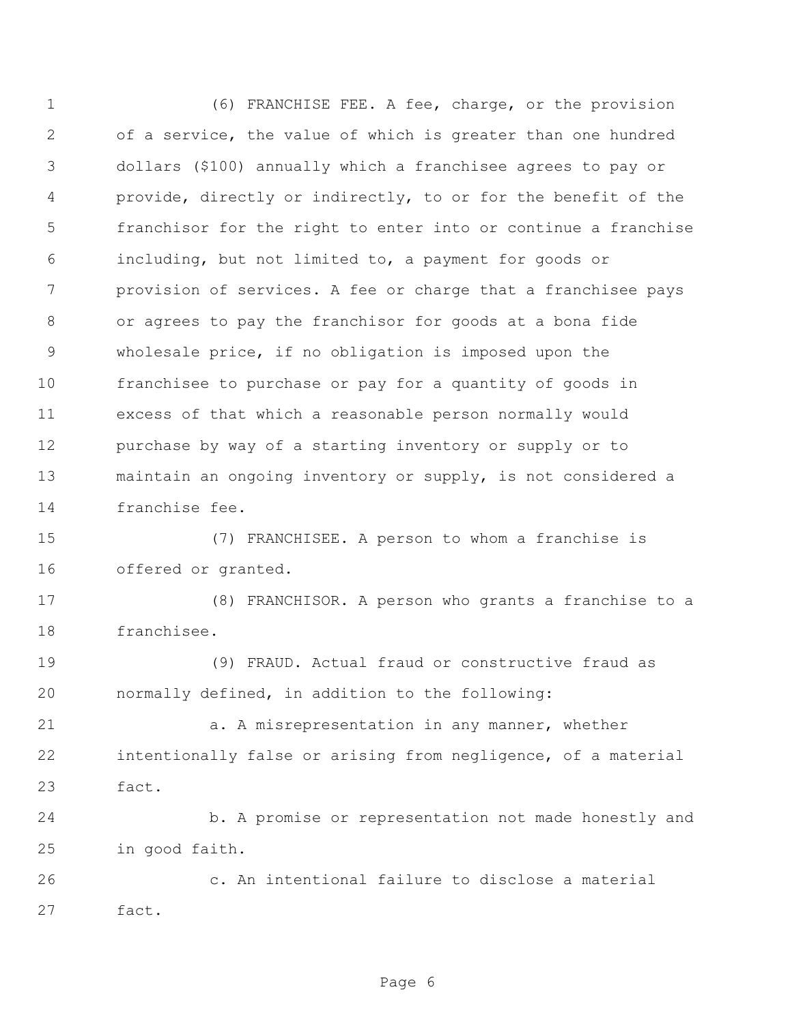(6) FRANCHISE FEE. A fee, charge, or the provision of a service, the value of which is greater than one hundred dollars (\$100) annually which a franchisee agrees to pay or provide, directly or indirectly, to or for the benefit of the franchisor for the right to enter into or continue a franchise including, but not limited to, a payment for goods or provision of services. A fee or charge that a franchisee pays or agrees to pay the franchisor for goods at a bona fide wholesale price, if no obligation is imposed upon the franchisee to purchase or pay for a quantity of goods in excess of that which a reasonable person normally would purchase by way of a starting inventory or supply or to maintain an ongoing inventory or supply, is not considered a franchise fee.

 (7) FRANCHISEE. A person to whom a franchise is offered or granted.

 (8) FRANCHISOR. A person who grants a franchise to a franchisee.

 (9) FRAUD. Actual fraud or constructive fraud as normally defined, in addition to the following:

21 a. A misrepresentation in any manner, whether intentionally false or arising from negligence, of a material fact.

 b. A promise or representation not made honestly and in good faith.

 c. An intentional failure to disclose a material fact.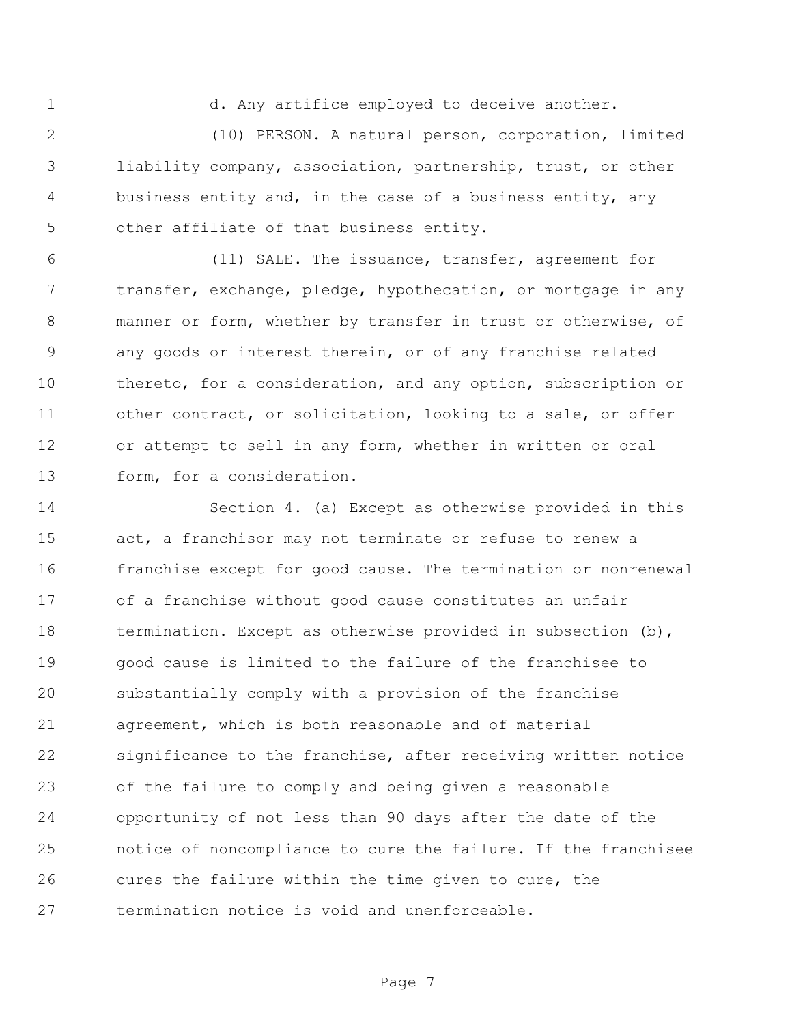d. Any artifice employed to deceive another.

 (10) PERSON. A natural person, corporation, limited liability company, association, partnership, trust, or other business entity and, in the case of a business entity, any other affiliate of that business entity.

 (11) SALE. The issuance, transfer, agreement for transfer, exchange, pledge, hypothecation, or mortgage in any manner or form, whether by transfer in trust or otherwise, of any goods or interest therein, or of any franchise related thereto, for a consideration, and any option, subscription or 11 other contract, or solicitation, looking to a sale, or offer or attempt to sell in any form, whether in written or oral form, for a consideration.

 Section 4. (a) Except as otherwise provided in this 15 act, a franchisor may not terminate or refuse to renew a franchise except for good cause. The termination or nonrenewal of a franchise without good cause constitutes an unfair 18 termination. Except as otherwise provided in subsection (b), good cause is limited to the failure of the franchisee to substantially comply with a provision of the franchise agreement, which is both reasonable and of material significance to the franchise, after receiving written notice of the failure to comply and being given a reasonable opportunity of not less than 90 days after the date of the notice of noncompliance to cure the failure. If the franchisee cures the failure within the time given to cure, the termination notice is void and unenforceable.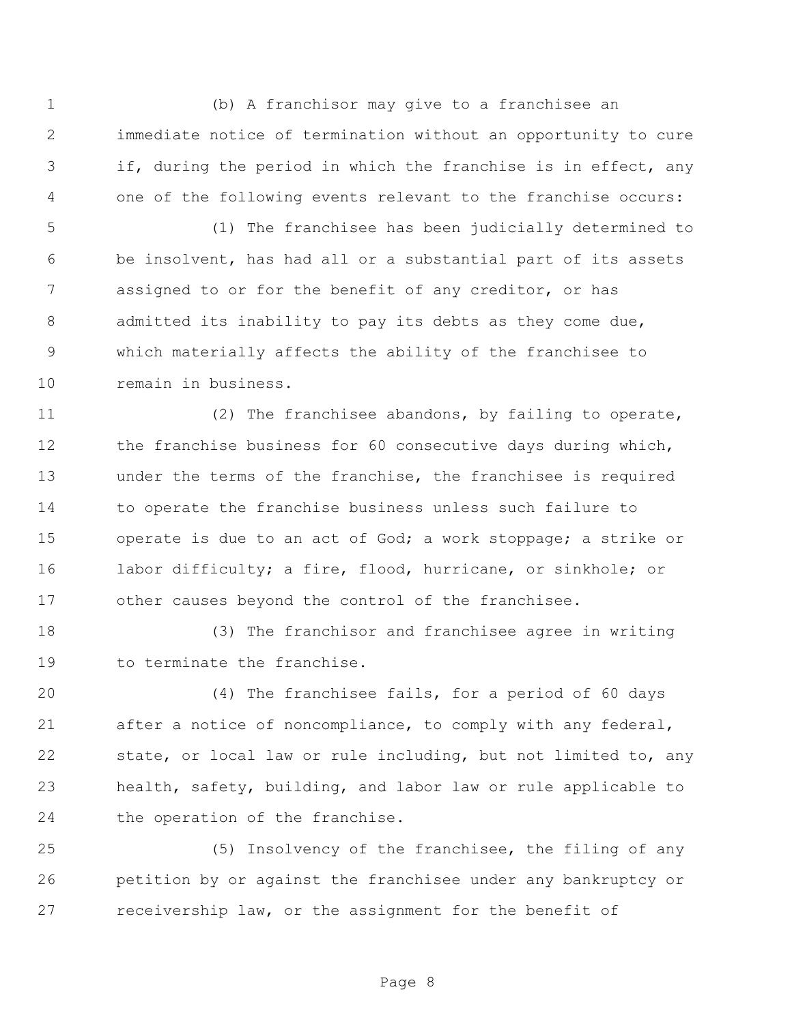(b) A franchisor may give to a franchisee an immediate notice of termination without an opportunity to cure if, during the period in which the franchise is in effect, any one of the following events relevant to the franchise occurs:

 (1) The franchisee has been judicially determined to be insolvent, has had all or a substantial part of its assets assigned to or for the benefit of any creditor, or has 8 admitted its inability to pay its debts as they come due, which materially affects the ability of the franchisee to remain in business.

 (2) The franchisee abandons, by failing to operate, 12 the franchise business for 60 consecutive days during which, under the terms of the franchise, the franchisee is required to operate the franchise business unless such failure to 15 operate is due to an act of God; a work stoppage; a strike or labor difficulty; a fire, flood, hurricane, or sinkhole; or other causes beyond the control of the franchisee.

 (3) The franchisor and franchisee agree in writing to terminate the franchise.

 (4) The franchisee fails, for a period of 60 days after a notice of noncompliance, to comply with any federal, state, or local law or rule including, but not limited to, any health, safety, building, and labor law or rule applicable to the operation of the franchise.

 (5) Insolvency of the franchisee, the filing of any petition by or against the franchisee under any bankruptcy or receivership law, or the assignment for the benefit of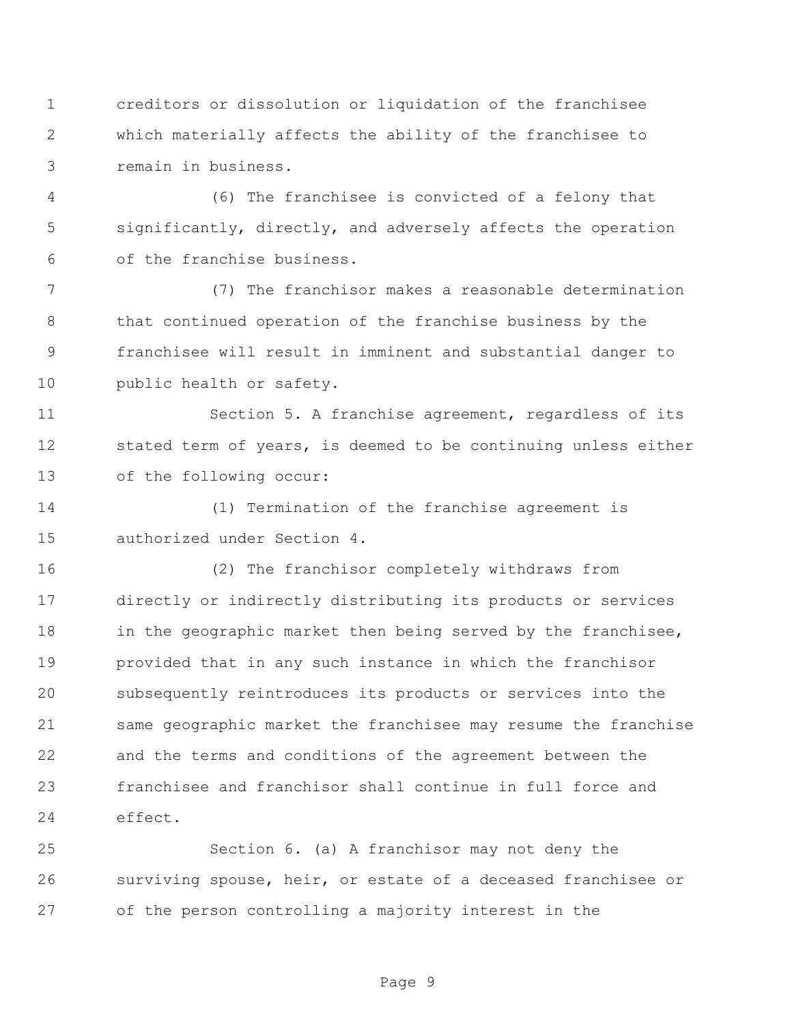creditors or dissolution or liquidation of the franchisee which materially affects the ability of the franchisee to remain in business.

 (6) The franchisee is convicted of a felony that significantly, directly, and adversely affects the operation of the franchise business.

 (7) The franchisor makes a reasonable determination that continued operation of the franchise business by the franchisee will result in imminent and substantial danger to public health or safety.

 Section 5. A franchise agreement, regardless of its stated term of years, is deemed to be continuing unless either of the following occur:

 (1) Termination of the franchise agreement is authorized under Section 4.

 (2) The franchisor completely withdraws from directly or indirectly distributing its products or services 18 in the geographic market then being served by the franchisee, provided that in any such instance in which the franchisor subsequently reintroduces its products or services into the same geographic market the franchisee may resume the franchise and the terms and conditions of the agreement between the franchisee and franchisor shall continue in full force and effect.

 Section 6. (a) A franchisor may not deny the surviving spouse, heir, or estate of a deceased franchisee or of the person controlling a majority interest in the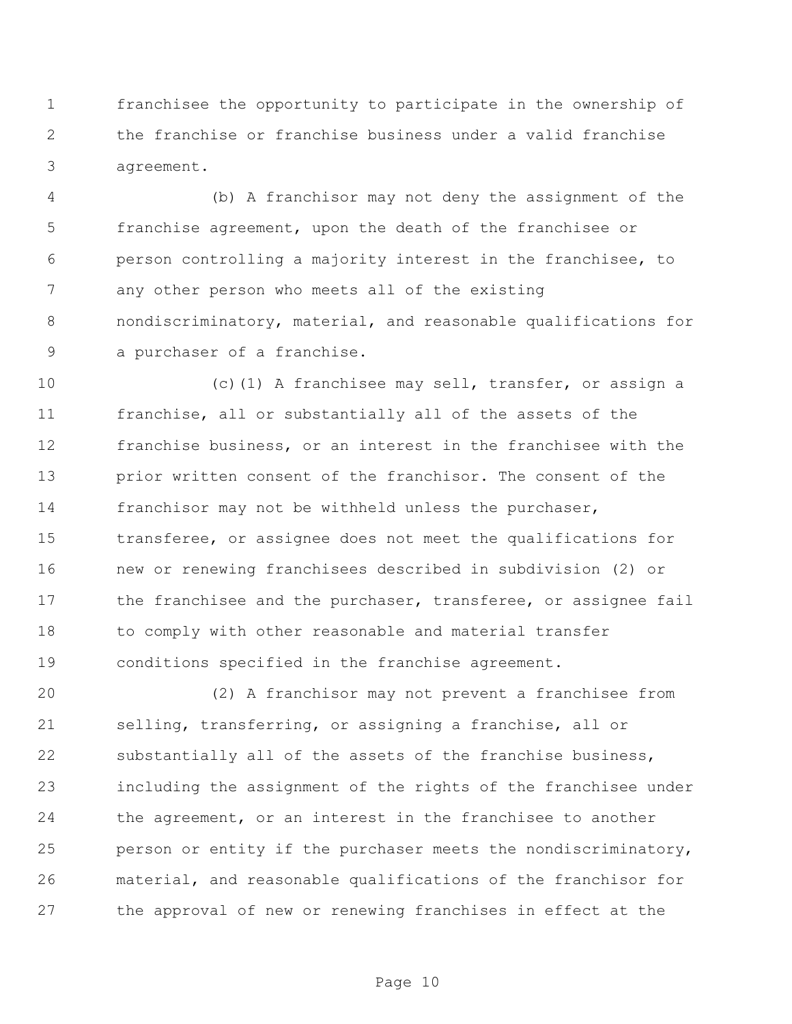franchisee the opportunity to participate in the ownership of the franchise or franchise business under a valid franchise agreement.

 (b) A franchisor may not deny the assignment of the franchise agreement, upon the death of the franchisee or person controlling a majority interest in the franchisee, to any other person who meets all of the existing nondiscriminatory, material, and reasonable qualifications for a purchaser of a franchise.

 (c)(1) A franchisee may sell, transfer, or assign a franchise, all or substantially all of the assets of the franchise business, or an interest in the franchisee with the prior written consent of the franchisor. The consent of the franchisor may not be withheld unless the purchaser, transferee, or assignee does not meet the qualifications for new or renewing franchisees described in subdivision (2) or 17 the franchisee and the purchaser, transferee, or assignee fail to comply with other reasonable and material transfer conditions specified in the franchise agreement.

 (2) A franchisor may not prevent a franchisee from selling, transferring, or assigning a franchise, all or substantially all of the assets of the franchise business, including the assignment of the rights of the franchisee under the agreement, or an interest in the franchisee to another person or entity if the purchaser meets the nondiscriminatory, material, and reasonable qualifications of the franchisor for the approval of new or renewing franchises in effect at the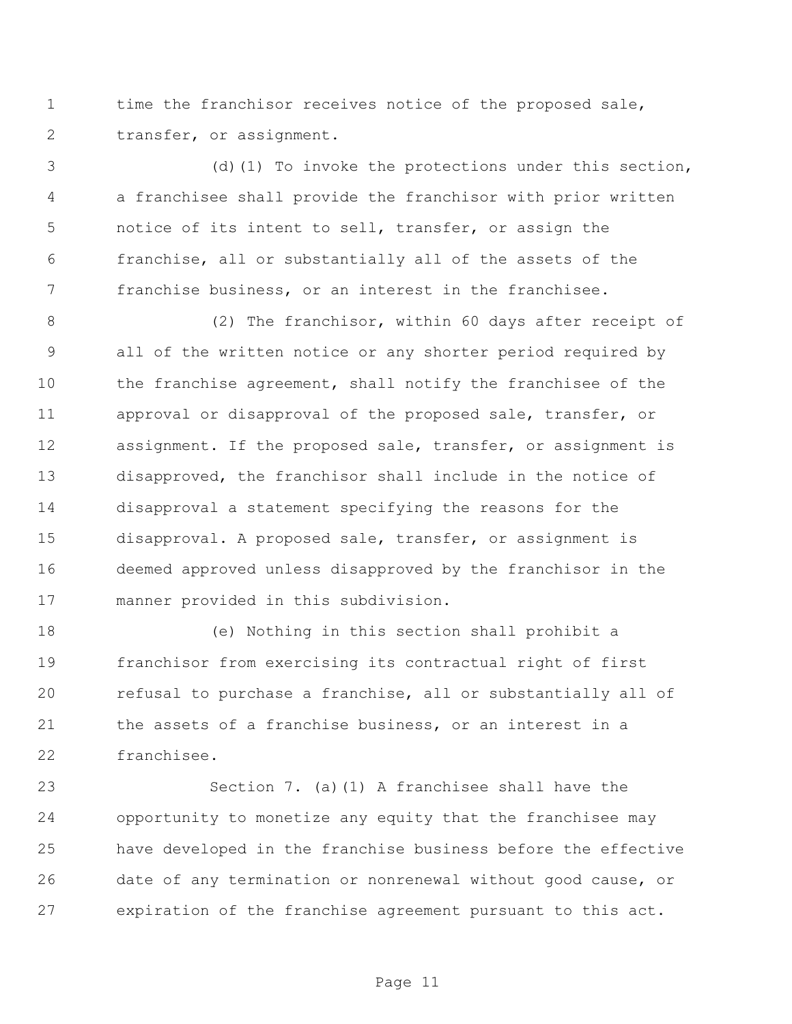time the franchisor receives notice of the proposed sale, transfer, or assignment.

 (d)(1) To invoke the protections under this section, a franchisee shall provide the franchisor with prior written notice of its intent to sell, transfer, or assign the franchise, all or substantially all of the assets of the franchise business, or an interest in the franchisee.

 (2) The franchisor, within 60 days after receipt of all of the written notice or any shorter period required by the franchise agreement, shall notify the franchisee of the approval or disapproval of the proposed sale, transfer, or assignment. If the proposed sale, transfer, or assignment is disapproved, the franchisor shall include in the notice of disapproval a statement specifying the reasons for the disapproval. A proposed sale, transfer, or assignment is deemed approved unless disapproved by the franchisor in the manner provided in this subdivision.

 (e) Nothing in this section shall prohibit a franchisor from exercising its contractual right of first refusal to purchase a franchise, all or substantially all of the assets of a franchise business, or an interest in a franchisee.

 Section 7. (a)(1) A franchisee shall have the opportunity to monetize any equity that the franchisee may have developed in the franchise business before the effective date of any termination or nonrenewal without good cause, or expiration of the franchise agreement pursuant to this act.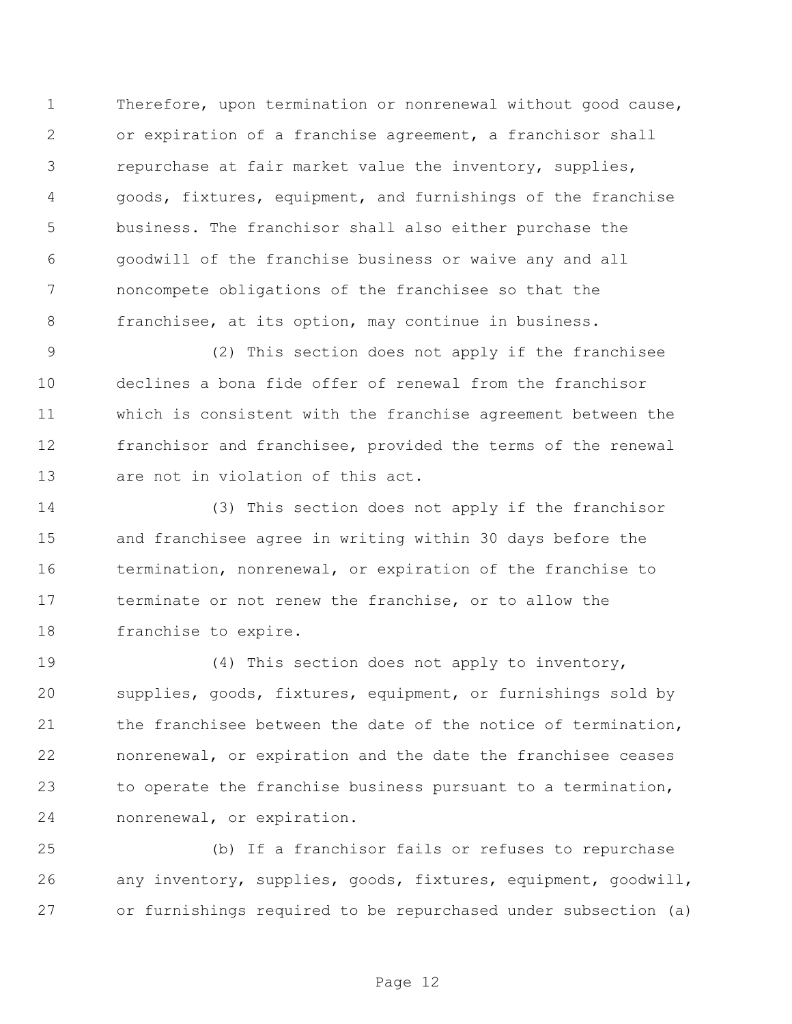Therefore, upon termination or nonrenewal without good cause, or expiration of a franchise agreement, a franchisor shall repurchase at fair market value the inventory, supplies, goods, fixtures, equipment, and furnishings of the franchise business. The franchisor shall also either purchase the goodwill of the franchise business or waive any and all noncompete obligations of the franchisee so that the franchisee, at its option, may continue in business.

 (2) This section does not apply if the franchisee declines a bona fide offer of renewal from the franchisor which is consistent with the franchise agreement between the franchisor and franchisee, provided the terms of the renewal are not in violation of this act.

 (3) This section does not apply if the franchisor and franchisee agree in writing within 30 days before the termination, nonrenewal, or expiration of the franchise to terminate or not renew the franchise, or to allow the franchise to expire.

 (4) This section does not apply to inventory, supplies, goods, fixtures, equipment, or furnishings sold by 21 the franchisee between the date of the notice of termination, nonrenewal, or expiration and the date the franchisee ceases to operate the franchise business pursuant to a termination, nonrenewal, or expiration.

 (b) If a franchisor fails or refuses to repurchase any inventory, supplies, goods, fixtures, equipment, goodwill, or furnishings required to be repurchased under subsection (a)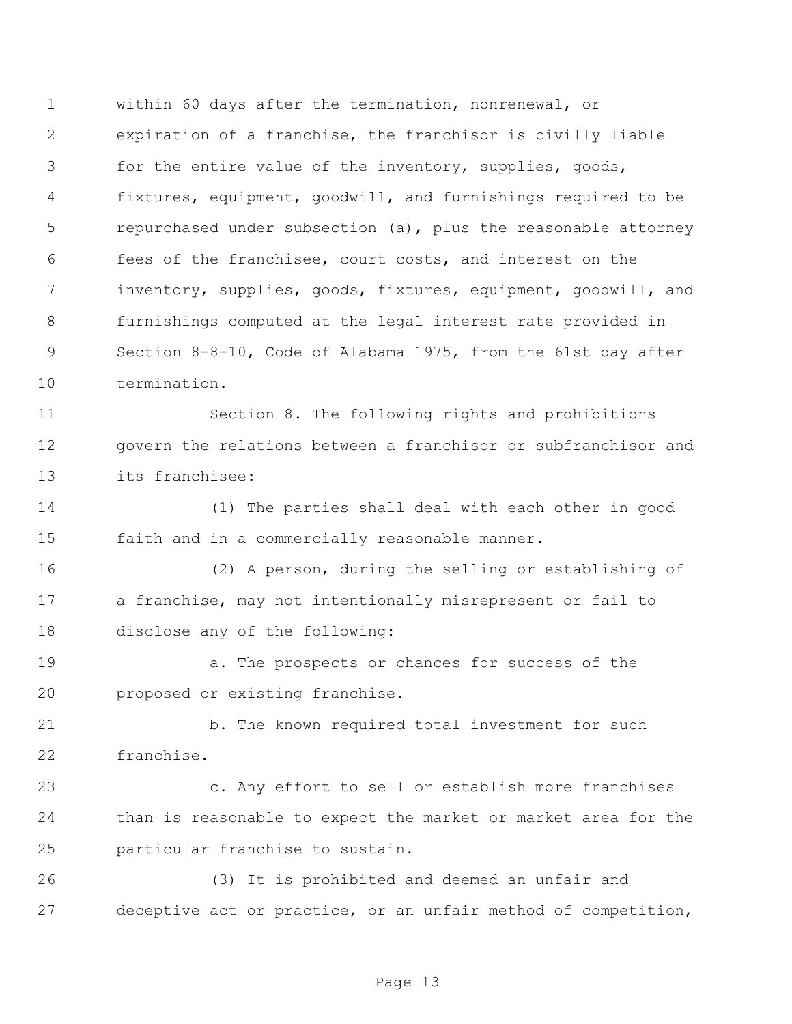within 60 days after the termination, nonrenewal, or expiration of a franchise, the franchisor is civilly liable for the entire value of the inventory, supplies, goods, fixtures, equipment, goodwill, and furnishings required to be repurchased under subsection (a), plus the reasonable attorney fees of the franchisee, court costs, and interest on the inventory, supplies, goods, fixtures, equipment, goodwill, and furnishings computed at the legal interest rate provided in Section 8-8-10, Code of Alabama 1975, from the 61st day after termination.

 Section 8. The following rights and prohibitions govern the relations between a franchisor or subfranchisor and its franchisee:

 (1) The parties shall deal with each other in good faith and in a commercially reasonable manner.

 (2) A person, during the selling or establishing of a franchise, may not intentionally misrepresent or fail to disclose any of the following:

 a. The prospects or chances for success of the proposed or existing franchise.

21 b. The known required total investment for such franchise.

 c. Any effort to sell or establish more franchises than is reasonable to expect the market or market area for the particular franchise to sustain.

 (3) It is prohibited and deemed an unfair and deceptive act or practice, or an unfair method of competition,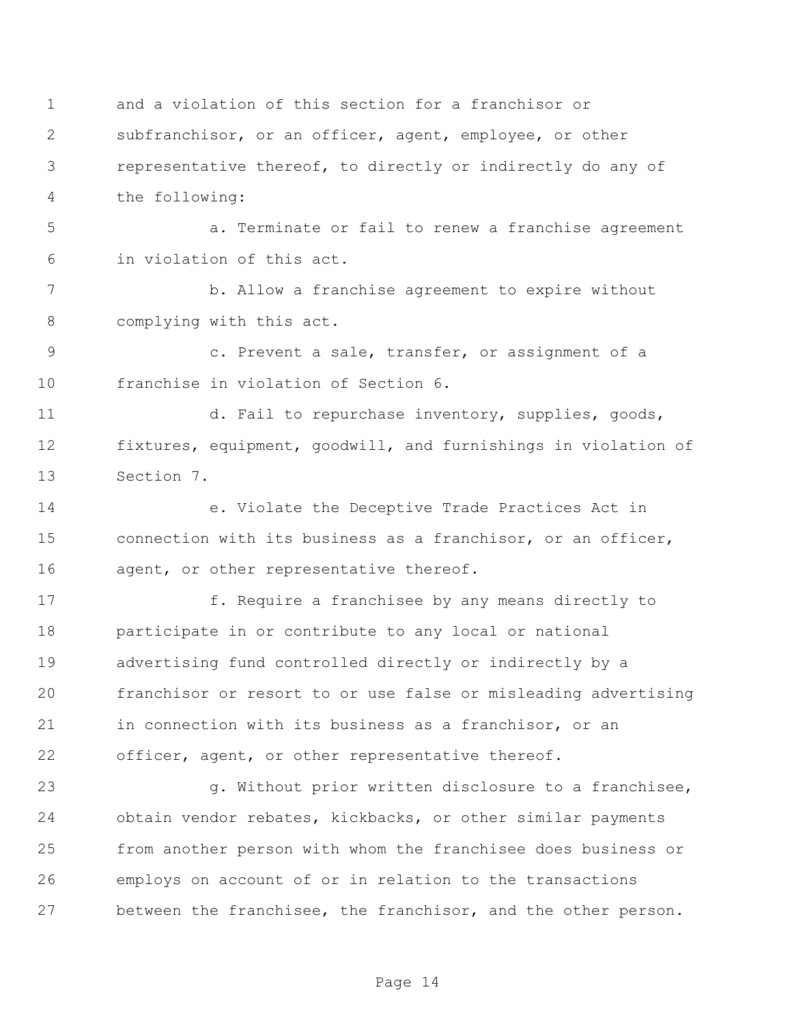and a violation of this section for a franchisor or subfranchisor, or an officer, agent, employee, or other representative thereof, to directly or indirectly do any of the following:

 a. Terminate or fail to renew a franchise agreement in violation of this act.

 b. Allow a franchise agreement to expire without complying with this act.

 c. Prevent a sale, transfer, or assignment of a franchise in violation of Section 6.

 d. Fail to repurchase inventory, supplies, goods, fixtures, equipment, goodwill, and furnishings in violation of Section 7.

 e. Violate the Deceptive Trade Practices Act in connection with its business as a franchisor, or an officer, 16 agent, or other representative thereof.

17 f. Require a franchisee by any means directly to participate in or contribute to any local or national advertising fund controlled directly or indirectly by a franchisor or resort to or use false or misleading advertising in connection with its business as a franchisor, or an 22 officer, agent, or other representative thereof.

 g. Without prior written disclosure to a franchisee, obtain vendor rebates, kickbacks, or other similar payments from another person with whom the franchisee does business or employs on account of or in relation to the transactions between the franchisee, the franchisor, and the other person.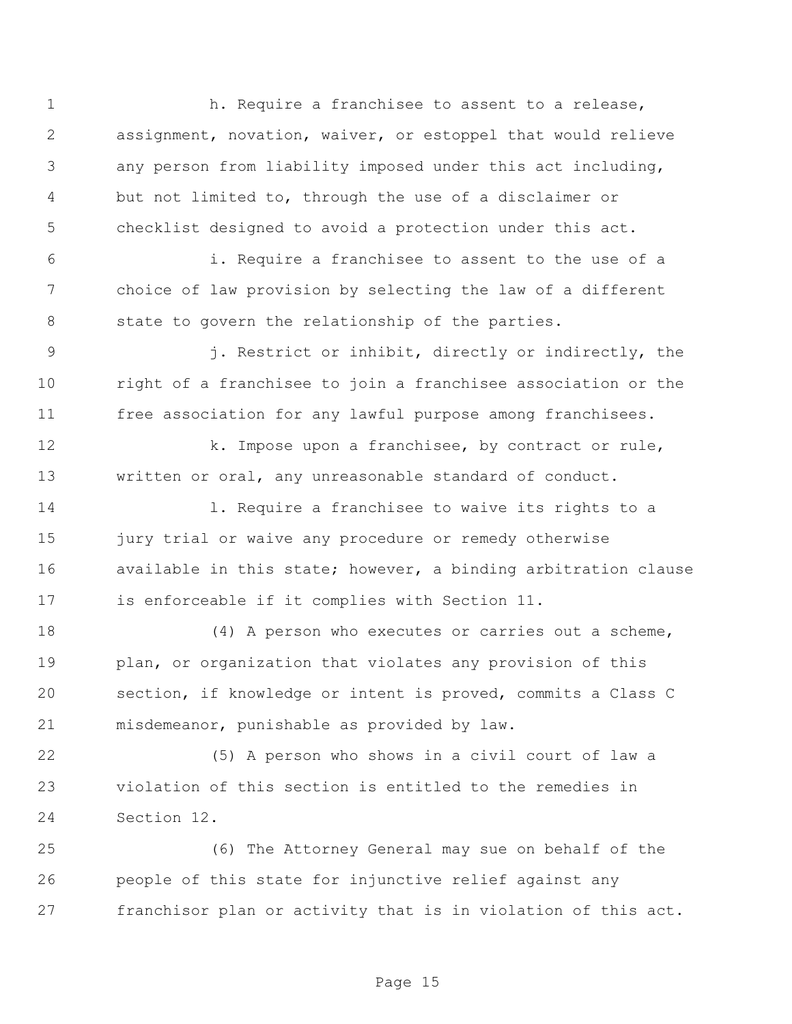1 h. Require a franchisee to assent to a release, assignment, novation, waiver, or estoppel that would relieve any person from liability imposed under this act including, but not limited to, through the use of a disclaimer or checklist designed to avoid a protection under this act. i. Require a franchisee to assent to the use of a choice of law provision by selecting the law of a different state to govern the relationship of the parties. j. Restrict or inhibit, directly or indirectly, the right of a franchisee to join a franchisee association or the free association for any lawful purpose among franchisees. 12 k. Impose upon a franchisee, by contract or rule, written or oral, any unreasonable standard of conduct. l. Require a franchisee to waive its rights to a 15 jury trial or waive any procedure or remedy otherwise 16 available in this state; however, a binding arbitration clause is enforceable if it complies with Section 11. 18 (4) A person who executes or carries out a scheme, plan, or organization that violates any provision of this section, if knowledge or intent is proved, commits a Class C misdemeanor, punishable as provided by law. (5) A person who shows in a civil court of law a violation of this section is entitled to the remedies in Section 12. (6) The Attorney General may sue on behalf of the people of this state for injunctive relief against any franchisor plan or activity that is in violation of this act.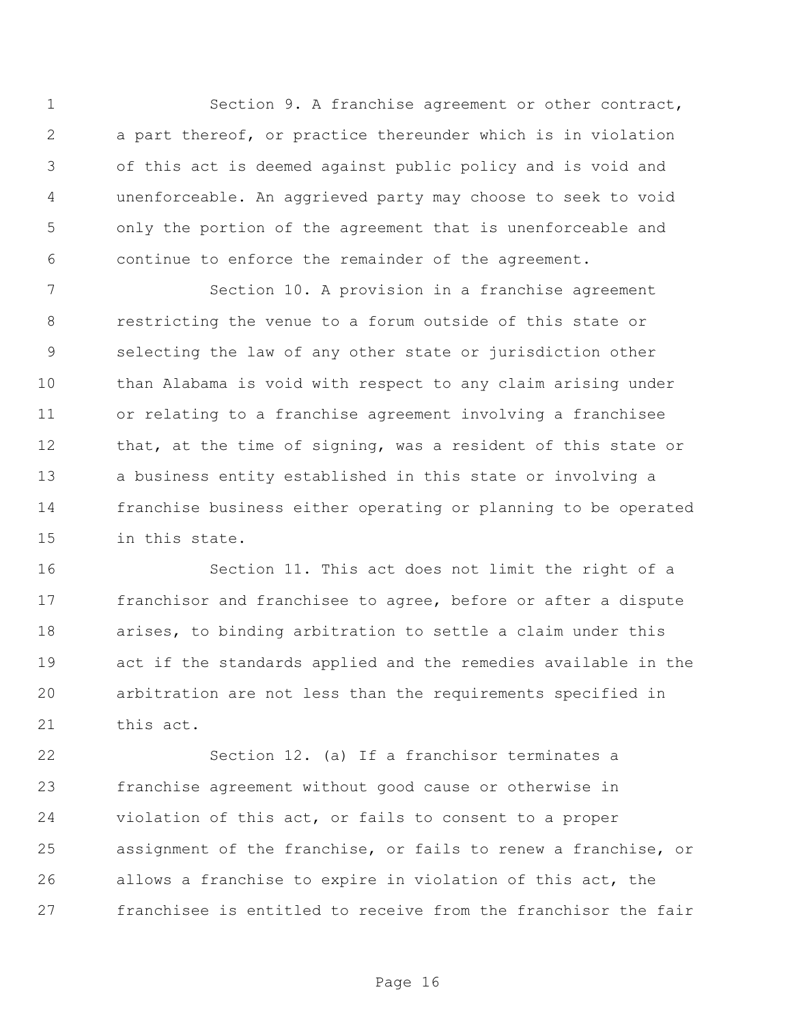Section 9. A franchise agreement or other contract, a part thereof, or practice thereunder which is in violation of this act is deemed against public policy and is void and unenforceable. An aggrieved party may choose to seek to void only the portion of the agreement that is unenforceable and continue to enforce the remainder of the agreement.

 Section 10. A provision in a franchise agreement restricting the venue to a forum outside of this state or selecting the law of any other state or jurisdiction other than Alabama is void with respect to any claim arising under or relating to a franchise agreement involving a franchisee that, at the time of signing, was a resident of this state or a business entity established in this state or involving a franchise business either operating or planning to be operated in this state.

 Section 11. This act does not limit the right of a franchisor and franchisee to agree, before or after a dispute arises, to binding arbitration to settle a claim under this act if the standards applied and the remedies available in the arbitration are not less than the requirements specified in this act.

 Section 12. (a) If a franchisor terminates a franchise agreement without good cause or otherwise in violation of this act, or fails to consent to a proper assignment of the franchise, or fails to renew a franchise, or allows a franchise to expire in violation of this act, the franchisee is entitled to receive from the franchisor the fair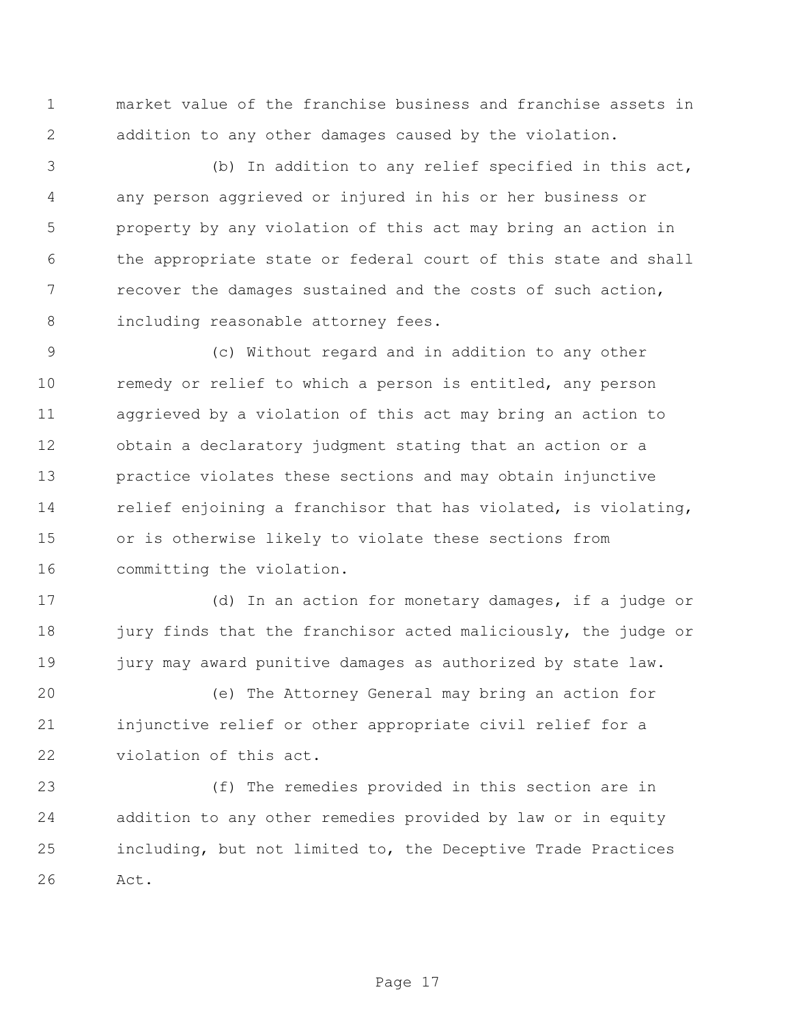market value of the franchise business and franchise assets in addition to any other damages caused by the violation.

 (b) In addition to any relief specified in this act, any person aggrieved or injured in his or her business or property by any violation of this act may bring an action in the appropriate state or federal court of this state and shall recover the damages sustained and the costs of such action, including reasonable attorney fees.

 (c) Without regard and in addition to any other remedy or relief to which a person is entitled, any person aggrieved by a violation of this act may bring an action to obtain a declaratory judgment stating that an action or a practice violates these sections and may obtain injunctive 14 relief enjoining a franchisor that has violated, is violating, or is otherwise likely to violate these sections from committing the violation.

 (d) In an action for monetary damages, if a judge or 18 jury finds that the franchisor acted maliciously, the judge or 19 jury may award punitive damages as authorized by state law.

 (e) The Attorney General may bring an action for injunctive relief or other appropriate civil relief for a violation of this act.

 (f) The remedies provided in this section are in addition to any other remedies provided by law or in equity including, but not limited to, the Deceptive Trade Practices Act.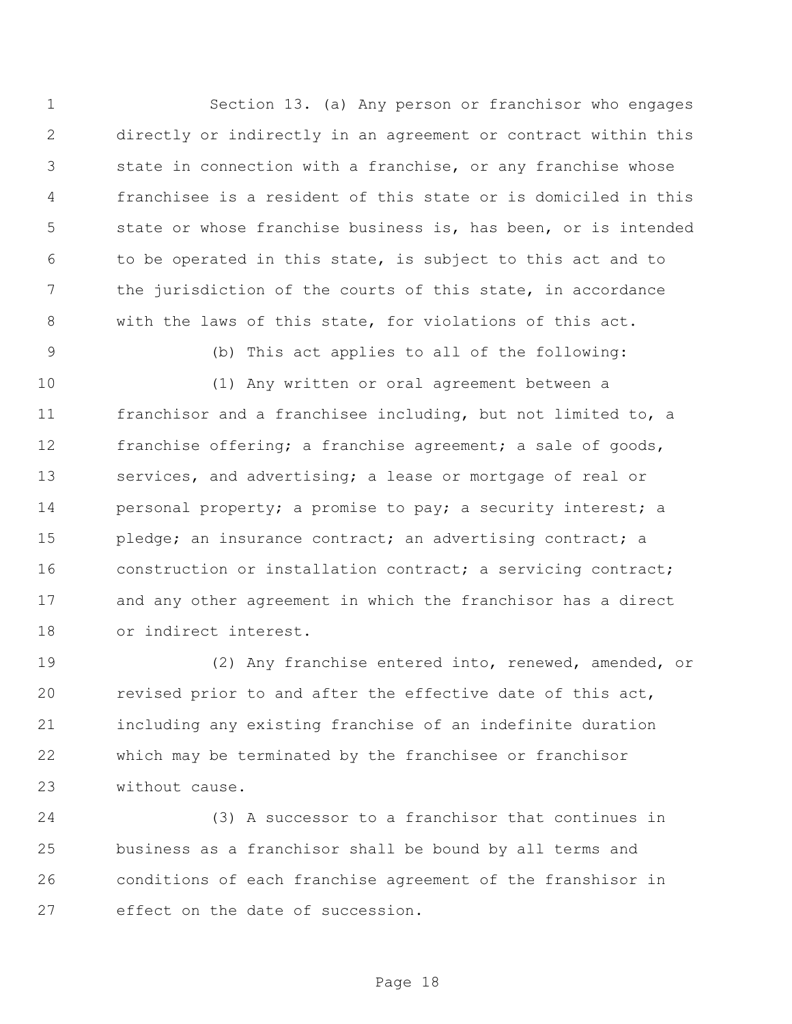Section 13. (a) Any person or franchisor who engages directly or indirectly in an agreement or contract within this state in connection with a franchise, or any franchise whose franchisee is a resident of this state or is domiciled in this state or whose franchise business is, has been, or is intended to be operated in this state, is subject to this act and to the jurisdiction of the courts of this state, in accordance with the laws of this state, for violations of this act.

(b) This act applies to all of the following:

 (1) Any written or oral agreement between a franchisor and a franchisee including, but not limited to, a franchise offering; a franchise agreement; a sale of goods, services, and advertising; a lease or mortgage of real or 14 personal property; a promise to pay; a security interest; a 15 pledge; an insurance contract; an advertising contract; a 16 construction or installation contract; a servicing contract; and any other agreement in which the franchisor has a direct or indirect interest.

 (2) Any franchise entered into, renewed, amended, or revised prior to and after the effective date of this act, including any existing franchise of an indefinite duration which may be terminated by the franchisee or franchisor without cause.

 (3) A successor to a franchisor that continues in business as a franchisor shall be bound by all terms and conditions of each franchise agreement of the franshisor in effect on the date of succession.